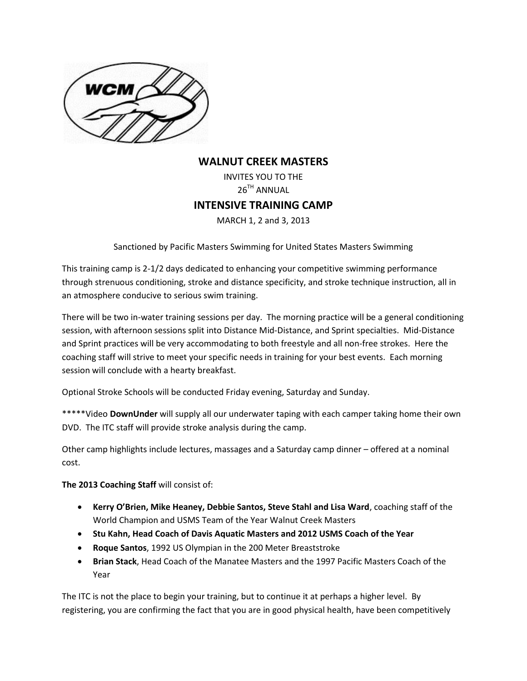

## **WALNUT CREEK MASTERS**

INVITES YOU TO THE 26<sup>TH</sup> ANNUAL **INTENSIVE TRAINING CAMP** MARCH 1, 2 and 3, 2013

Sanctioned by Pacific Masters Swimming for United States Masters Swimming

This training camp is 2-1/2 days dedicated to enhancing your competitive swimming performance through strenuous conditioning, stroke and distance specificity, and stroke technique instruction, all in an atmosphere conducive to serious swim training.

There will be two in-water training sessions per day. The morning practice will be a general conditioning session, with afternoon sessions split into Distance Mid-Distance, and Sprint specialties. Mid-Distance and Sprint practices will be very accommodating to both freestyle and all non-free strokes. Here the coaching staff will strive to meet your specific needs in training for your best events. Each morning session will conclude with a hearty breakfast.

Optional Stroke Schools will be conducted Friday evening, Saturday and Sunday.

\*\*\*\*\*Video **DownUnder** will supply all our underwater taping with each camper taking home their own DVD. The ITC staff will provide stroke analysis during the camp.

Other camp highlights include lectures, massages and a Saturday camp dinner – offered at a nominal cost.

**The 2013 Coaching Staff** will consist of:

- **Kerry O'Brien, Mike Heaney, Debbie Santos, Steve Stahl and Lisa Ward**, coaching staff of the World Champion and USMS Team of the Year Walnut Creek Masters
- **Stu Kahn, Head Coach of Davis Aquatic Masters and 2012 USMS Coach of the Year**
- **Roque Santos**, 1992 US Olympian in the 200 Meter Breaststroke
- **Brian Stack**, Head Coach of the Manatee Masters and the 1997 Pacific Masters Coach of the Year

The ITC is not the place to begin your training, but to continue it at perhaps a higher level. By registering, you are confirming the fact that you are in good physical health, have been competitively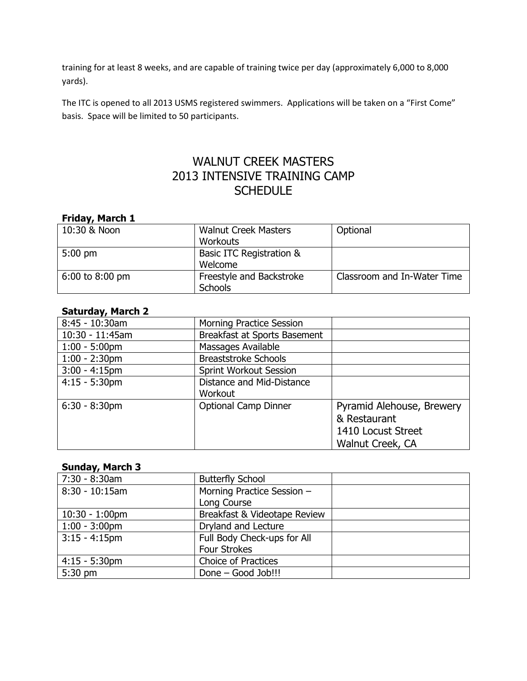training for at least 8 weeks, and are capable of training twice per day (approximately 6,000 to 8,000 yards).

The ITC is opened to all 2013 USMS registered swimmers. Applications will be taken on a "First Come" basis. Space will be limited to 50 participants.

# WALNUT CREEK MASTERS 2013 INTENSIVE TRAINING CAMP **SCHEDULE**

| Friday, March 1 |                             |                             |
|-----------------|-----------------------------|-----------------------------|
| 10:30 & Noon    | <b>Walnut Creek Masters</b> | Optional                    |
|                 | <b>Workouts</b>             |                             |
| $5:00$ pm       | Basic ITC Registration &    |                             |
|                 | Welcome                     |                             |
| 6:00 to 8:00 pm | Freestyle and Backstroke    | Classroom and In-Water Time |
|                 | <b>Schools</b>              |                             |

#### **Saturday, March 2**

| <b>Morning Practice Session</b> |                             |
|---------------------------------|-----------------------------|
| Breakfast at Sports Basement    |                             |
| Massages Available              |                             |
| <b>Breaststroke Schools</b>     |                             |
| Sprint Workout Session          |                             |
| Distance and Mid-Distance       |                             |
| Workout                         |                             |
|                                 | Pyramid Alehouse, Brewery   |
|                                 | & Restaurant                |
|                                 | 1410 Locust Street          |
|                                 | Walnut Creek, CA            |
|                                 | <b>Optional Camp Dinner</b> |

## **Sunday, March 3**

| 7:30 - 8:30am     | <b>Butterfly School</b>      |  |
|-------------------|------------------------------|--|
| $8:30 - 10:15$ am | Morning Practice Session -   |  |
|                   | Long Course                  |  |
| $10:30 - 1:00$ pm | Breakfast & Videotape Review |  |
| $1:00 - 3:00$ pm  | Dryland and Lecture          |  |
| $3:15 - 4:15$ pm  | Full Body Check-ups for All  |  |
|                   | <b>Four Strokes</b>          |  |
| $4:15 - 5:30$ pm  | <b>Choice of Practices</b>   |  |
| $5:30$ pm         | Done - Good Job!!!           |  |